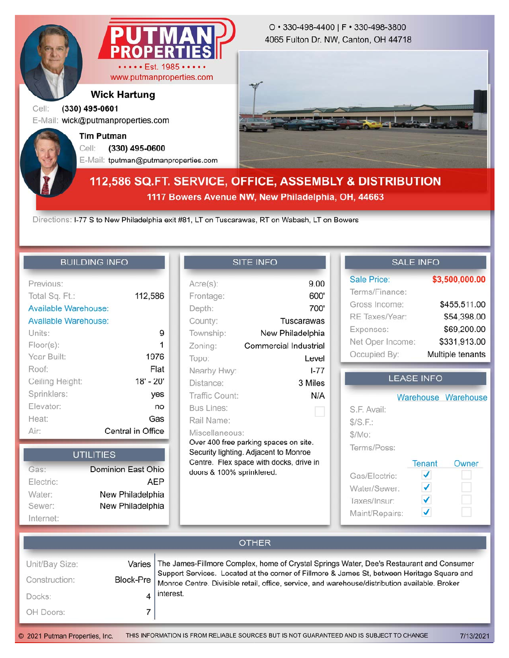

#### **Wick Hartung**

### Cell: **(330) 495-0601**

E-Mail: wick@putmanproperties.com

**Tim Putman**

Cell: **(330) 495-0600**

E-Mail: tputman@putmanproperties.com

#### 4065 Fulton Dr. NW, Canton, OH 44718 O • 330-498-4400 | F • 330-498-3800



# **112,586 SQ.FT. SERVICE, OFFICE, ASSEMBLY & DISTRIBUTION 1117 Bowers Avenue NW, New Philadelphia, OH, 44663**

Directions: I-77 S to New Philadelphia exit #81, LT on Tuscarawas, RT on Wabash, LT on Bowers

#### **BUILDING INFO**

| Previous:            |                   |
|----------------------|-------------------|
| Total Sq. Ft.:       | 112,586           |
| Available Warehouse: |                   |
| Available Warehouse: |                   |
| Units:               | 9                 |
| $Floor(s)$ :         | 1                 |
| Year Built:          | 1976              |
| Roof:                | Flat              |
| Ceiling Height:      | $18' - 20'$       |
| Sprinklers:          | yes               |
| Elevator:            | no                |
| Heat:                | Gas               |
| Air:                 | Central in Office |

| <b>UTILITIES</b> |                    |  |  |  |
|------------------|--------------------|--|--|--|
| Gas:             | Dominion East Ohio |  |  |  |
| Electric:        | AEP                |  |  |  |
| Water:           | New Philadelphia   |  |  |  |
| Sewer:           | New Philadelphia   |  |  |  |
| Internet:        |                    |  |  |  |

### **SITE INFO**

| $Acre(s)$ :                             | 9.00                  |  |  |  |  |
|-----------------------------------------|-----------------------|--|--|--|--|
| Frontage:                               | 600'                  |  |  |  |  |
| Depth:                                  | 700'                  |  |  |  |  |
| County:                                 | Tuscarawas            |  |  |  |  |
| Township:                               | New Philadelphia      |  |  |  |  |
| Zoning:                                 | Commercial Industrial |  |  |  |  |
| Topo:                                   | Level                 |  |  |  |  |
| Nearby Hwy:                             | $1 - 77$              |  |  |  |  |
| Distance:                               | 3 Miles               |  |  |  |  |
| Traffic Count:                          | N/A                   |  |  |  |  |
| <b>Bus Lines:</b>                       |                       |  |  |  |  |
| Rail Name:                              |                       |  |  |  |  |
| Miscellaneous:                          |                       |  |  |  |  |
| Over 400 free parking spaces on site.   |                       |  |  |  |  |
| Security lighting. Adjacent to Monroe   |                       |  |  |  |  |
| Centre. Flex space with docks, drive in |                       |  |  |  |  |
| doors & 100% sprinklered.               |                       |  |  |  |  |
|                                         |                       |  |  |  |  |
|                                         |                       |  |  |  |  |
|                                         |                       |  |  |  |  |

## **SALE INFO**

| <b>Sale Price:</b> | \$3,500,000.00   |  |
|--------------------|------------------|--|
| Terms/Finance:     |                  |  |
| Gross Income:      | \$455,511.00     |  |
| RE Taxes/Year:     | \$54,398.00      |  |
| Expenses:          | \$69,200.00      |  |
| Net Oper Income:   | \$331,913.00     |  |
| Occupied By:       | Multiple tenants |  |

## **LEASE INFO**

|                |        | Warehouse Warehouse |
|----------------|--------|---------------------|
| S.F. Avail:    |        |                     |
| \$/S.F.:       |        |                     |
| \$/Mo:         |        |                     |
| Terms/Poss:    |        |                     |
|                | Tenant | Owner               |
| Gas/Electric:  |        |                     |
| Water/Sewer:   | ✔      |                     |
| Taxes/Insur:   |        |                     |
| Maint/Repairs: |        |                     |

#### **OTHER** Unit/Bay Size: The James-Fillmore Complex, home of Crystal Springs Water, Dee's Restaurant and Consumer Varies Support Services. Located at the corner of Fillmore & James St, between Heritage Square and Construction: Block-Pre Monroe Centre. Divisible retail, office, service, and warehouse/distribution available. Broker interest. 4 Docks: OH Doors: 7